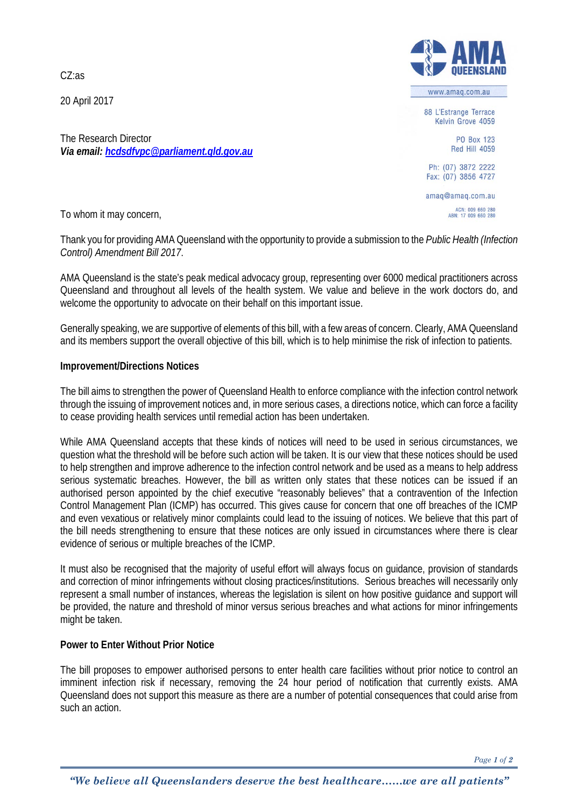CZ:as

20 April 2017

The Research Director *Via email[: hcdsdfvpc@parliament.qld.gov.au](mailto:hcdsdfvpc@parliament.qld.gov.au)*



www.amag.com.au

88 L'Estrange Terrace Kelvin Grove 4059

> PO Box 123 **Red Hill 4059**

Ph: (07) 3872 2222 Fax: (07) 3856 4727

amag@amag.com.au ACN: 009 660 280<br>ABN: 17 009 660 280

To whom it may concern,

Thank you for providing AMA Queensland with the opportunity to provide a submission to the *Public Health (Infection Control) Amendment Bill 2017*.

AMA Queensland is the state's peak medical advocacy group, representing over 6000 medical practitioners across Queensland and throughout all levels of the health system. We value and believe in the work doctors do, and welcome the opportunity to advocate on their behalf on this important issue.

Generally speaking, we are supportive of elements of this bill, with a few areas of concern. Clearly, AMA Queensland and its members support the overall objective of this bill, which is to help minimise the risk of infection to patients.

## **Improvement/Directions Notices**

The bill aims to strengthen the power of Queensland Health to enforce compliance with the infection control network through the issuing of improvement notices and, in more serious cases, a directions notice, which can force a facility to cease providing health services until remedial action has been undertaken.

While AMA Queensland accepts that these kinds of notices will need to be used in serious circumstances, we question what the threshold will be before such action will be taken. It is our view that these notices should be used to help strengthen and improve adherence to the infection control network and be used as a means to help address serious systematic breaches. However, the bill as written only states that these notices can be issued if an authorised person appointed by the chief executive "reasonably believes" that a contravention of the Infection Control Management Plan (ICMP) has occurred. This gives cause for concern that one off breaches of the ICMP and even vexatious or relatively minor complaints could lead to the issuing of notices. We believe that this part of the bill needs strengthening to ensure that these notices are only issued in circumstances where there is clear evidence of serious or multiple breaches of the ICMP.

It must also be recognised that the majority of useful effort will always focus on guidance, provision of standards and correction of minor infringements without closing practices/institutions. Serious breaches will necessarily only represent a small number of instances, whereas the legislation is silent on how positive guidance and support will be provided, the nature and threshold of minor versus serious breaches and what actions for minor infringements might be taken.

## **Power to Enter Without Prior Notice**

The bill proposes to empower authorised persons to enter health care facilities without prior notice to control an imminent infection risk if necessary, removing the 24 hour period of notification that currently exists. AMA Queensland does not support this measure as there are a number of potential consequences that could arise from such an action.